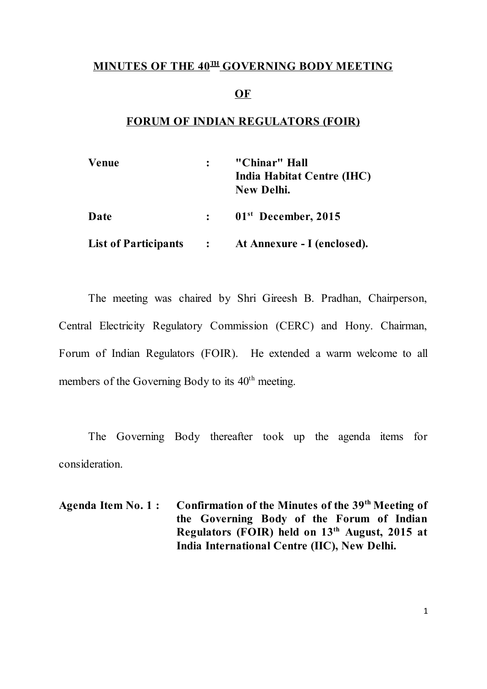## MINUTES OF THE 40<sup>th</sup> GOVERNING BODY MEETING

#### OF

## FORUM OF INDIAN REGULATORS (FOIR)

| <b>Venue</b>                |                                        | "Chinar" Hall<br>India Habitat Centre (IHC)<br>New Delhi. |
|-----------------------------|----------------------------------------|-----------------------------------------------------------|
| Date                        | $\mathbf{L}$                           | $01st$ December, 2015                                     |
| <b>List of Participants</b> | $\mathbf{r}$ . The set of $\mathbf{r}$ | At Annexure - I (enclosed).                               |

The meeting was chaired by Shri Gireesh B. Pradhan, Chairperson, Central Electricity Regulatory Commission (CERC) and Hony. Chairman, Forum of Indian Regulators (FOIR). He extended a warm welcome to all members of the Governing Body to its 40<sup>th</sup> meeting.

The Governing Body thereafter took up the agenda items for consideration.

Agenda Item No. 1: Confirmation of the Minutes of the 39<sup>th</sup> Meeting of the Governing Body of the Forum of Indian Regulators (FOIR) held on 13<sup>th</sup> August, 2015 at India International Centre (IIC), New Delhi.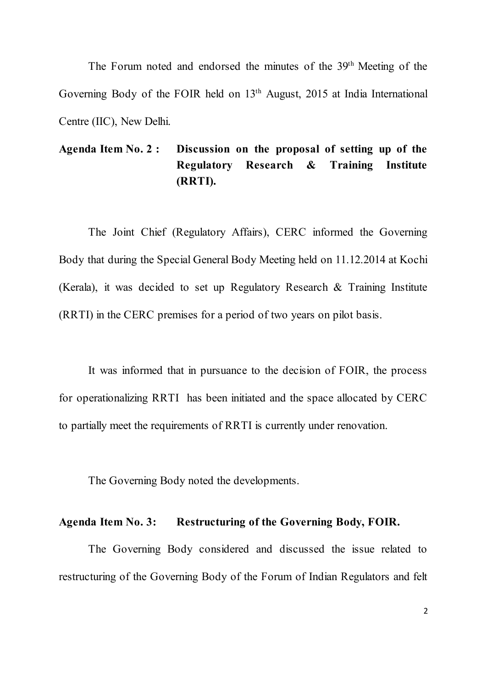The Forum noted and endorsed the minutes of the 39<sup>th</sup> Meeting of the Governing Body of the FOIR held on 13<sup>th</sup> August, 2015 at India International Centre (IIC), New Delhi.

# Agenda Item No. 2 : Discussion on the proposal of setting up of the Regulatory Research & Training Institute (RRTI).

The Joint Chief (Regulatory Affairs), CERC informed the Governing Body that during the Special General Body Meeting held on 11.12.2014 at Kochi (Kerala), it was decided to set up Regulatory Research & Training Institute (RRTI) in the CERC premises for a period of two years on pilot basis.

It was informed that in pursuance to the decision of FOIR, the process for operationalizing RRTI has been initiated and the space allocated by CERC to partially meet the requirements of RRTI is currently under renovation.

The Governing Body noted the developments.

## Agenda Item No. 3: Restructuring of the Governing Body, FOIR.

The Governing Body considered and discussed the issue related to restructuring of the Governing Body of the Forum of Indian Regulators and felt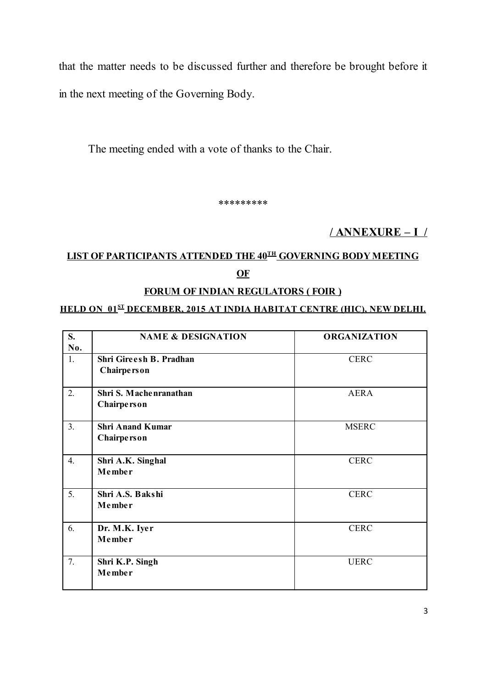that the matter needs to be discussed further and therefore be brought before it in the next meeting of the Governing Body.

The meeting ended with a vote of thanks to the Chair.

\*\*\*\*\*\*\*\*\*

# / ANNEXURE – I /

# LIST OF PARTICIPANTS ATTENDED THE 40<sup>th</sup> GOVERNING BODY MEETING **OF**

### FORUM OF INDIAN REGULATORS (FOIR )

#### <u>HELD ON 01<sup>st</sup> december, 2015 at India Habitat Centre (HIC), New Delhi.</u>

| S.<br>No.        | <b>NAME &amp; DESIGNATION</b>          | <b>ORGANIZATION</b> |
|------------------|----------------------------------------|---------------------|
| 1.               | Shri Gireesh B. Pradhan<br>Chairperson | <b>CERC</b>         |
| 2.               | Shri S. Machenranathan<br>Chairperson  | AERA                |
| 3.               | <b>Shri Anand Kumar</b><br>Chairperson | <b>MSERC</b>        |
| $\overline{4}$ . | Shri A.K. Singhal<br>Member            | <b>CERC</b>         |
| 5.               | Shri A.S. Bakshi<br>Member             | <b>CERC</b>         |
| 6.               | Dr. M.K. Iyer<br>Member                | <b>CERC</b>         |
| 7.               | Shri K.P. Singh<br>Member              | <b>UERC</b>         |